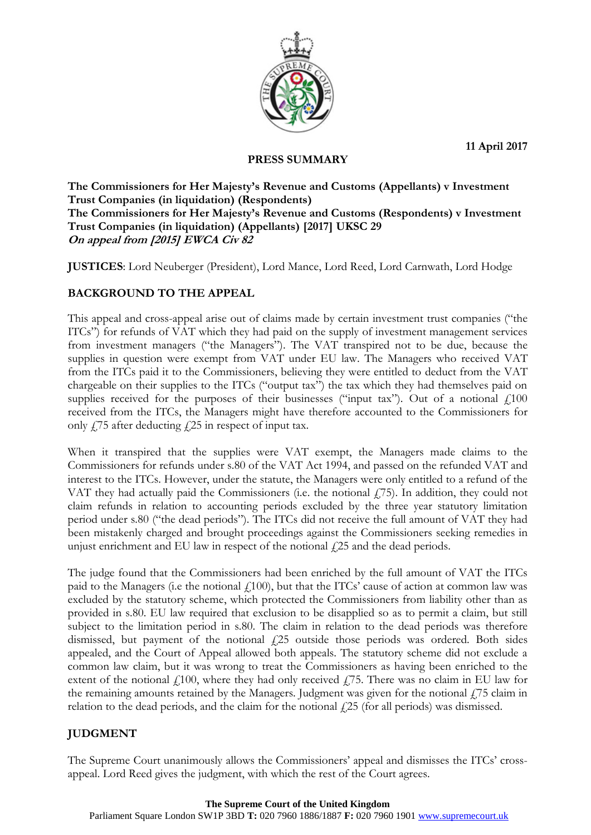**11 April 2017**



### **PRESS SUMMARY**

**The Commissioners for Her Majesty's Revenue and Customs (Appellants) v Investment Trust Companies (in liquidation) (Respondents) The Commissioners for Her Majesty's Revenue and Customs (Respondents) v Investment Trust Companies (in liquidation) (Appellants) [2017] UKSC 29 On appeal from [2015] EWCA Civ 82**

**JUSTICES**: Lord Neuberger (President), Lord Mance, Lord Reed, Lord Carnwath, Lord Hodge

## **BACKGROUND TO THE APPEAL**

This appeal and cross-appeal arise out of claims made by certain investment trust companies ("the ITCs") for refunds of VAT which they had paid on the supply of investment management services from investment managers ("the Managers"). The VAT transpired not to be due, because the supplies in question were exempt from VAT under EU law. The Managers who received VAT from the ITCs paid it to the Commissioners, believing they were entitled to deduct from the VAT chargeable on their supplies to the ITCs ("output tax") the tax which they had themselves paid on supplies received for the purposes of their businesses ("input tax"). Out of a notional  $f<sub>100</sub>$ received from the ITCs, the Managers might have therefore accounted to the Commissioners for only  $\angle$  75 after deducting  $\angle$  25 in respect of input tax.

When it transpired that the supplies were VAT exempt, the Managers made claims to the Commissioners for refunds under s.80 of the VAT Act 1994, and passed on the refunded VAT and interest to the ITCs. However, under the statute, the Managers were only entitled to a refund of the VAT they had actually paid the Commissioners (i.e. the notional  $f(75)$ ). In addition, they could not claim refunds in relation to accounting periods excluded by the three year statutory limitation period under s.80 ("the dead periods"). The ITCs did not receive the full amount of VAT they had been mistakenly charged and brought proceedings against the Commissioners seeking remedies in unjust enrichment and EU law in respect of the notional  $f$ 25 and the dead periods.

The judge found that the Commissioners had been enriched by the full amount of VAT the ITCs paid to the Managers (i.e the notional  $f(100)$ , but that the ITCs' cause of action at common law was excluded by the statutory scheme, which protected the Commissioners from liability other than as provided in s.80. EU law required that exclusion to be disapplied so as to permit a claim, but still subject to the limitation period in s.80. The claim in relation to the dead periods was therefore dismissed, but payment of the notional  $f$ <sub>25</sub> outside those periods was ordered. Both sides appealed, and the Court of Appeal allowed both appeals. The statutory scheme did not exclude a common law claim, but it was wrong to treat the Commissioners as having been enriched to the extent of the notional  $f(100)$ , where they had only received  $f(75)$ . There was no claim in EU law for the remaining amounts retained by the Managers. Judgment was given for the notional  $\ddot{175}$  claim in relation to the dead periods, and the claim for the notional  $f$ 25 (for all periods) was dismissed.

# **JUDGMENT**

The Supreme Court unanimously allows the Commissioners' appeal and dismisses the ITCs' crossappeal. Lord Reed gives the judgment, with which the rest of the Court agrees.